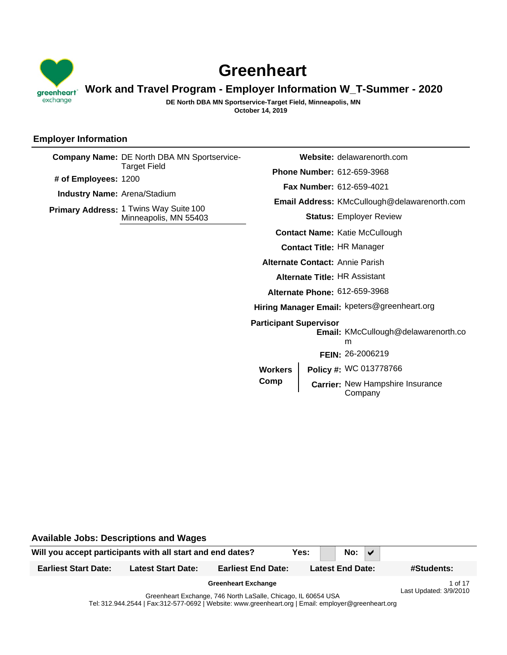

# **Greenheart**

# **Work and Travel Program - Employer Information W\_T-Summer - 2020**

**October 14, 2019 DE North DBA MN Sportservice-Target Field, Minneapolis, MN**

# **Employer Information**

|  | <b>Company Name: DE North DBA MN Sportservice-</b><br>Target Field<br># of Employees: 1200<br><b>Industry Name: Arena/Stadium</b> |                                                                     | <b>Website:</b> delawarenorth.com                   |  |
|--|-----------------------------------------------------------------------------------------------------------------------------------|---------------------------------------------------------------------|-----------------------------------------------------|--|
|  |                                                                                                                                   |                                                                     | <b>Phone Number: 612-659-3968</b>                   |  |
|  |                                                                                                                                   |                                                                     | <b>Fax Number: 612-659-4021</b>                     |  |
|  |                                                                                                                                   |                                                                     | <b>Email Address: KMcCullough@delawarenorth.com</b> |  |
|  | Primary Address: 1 Twins Way Suite 100<br>Minneapolis, MN 55403                                                                   |                                                                     | <b>Status: Employer Review</b>                      |  |
|  |                                                                                                                                   |                                                                     | <b>Contact Name: Katie McCullough</b>               |  |
|  |                                                                                                                                   |                                                                     | <b>Contact Title: HR Manager</b>                    |  |
|  |                                                                                                                                   | <b>Alternate Contact: Annie Parish</b>                              |                                                     |  |
|  |                                                                                                                                   | Alternate Title: HR Assistant                                       |                                                     |  |
|  |                                                                                                                                   | Alternate Phone: 612-659-3968                                       |                                                     |  |
|  |                                                                                                                                   |                                                                     | Hiring Manager Email: kpeters@greenheart.org        |  |
|  | <b>Participant Supervisor</b>                                                                                                     | <b>Email: KMcCullough@delawarenorth.co</b><br>m<br>FEIN: 26-2006219 |                                                     |  |
|  |                                                                                                                                   | <b>Workers</b>                                                      | Policy #: WC 013778766                              |  |
|  | Comp                                                                                                                              | Carrier: New Hampshire Insurance<br>Company                         |                                                     |  |

Will you accept participants with all start and end dates? **Yes:** No:  $\sqrt{ }$ **Available Jobs: Descriptions and Wages Earliest Start Date: Latest Start Date: Earliest End Date: Latest End Date: #Students:** Greenheart Exchange, 746 North LaSalle, Chicago, IL 60654 USA **Greenheart Exchange** 1 of 17 Last Updated: 3/9/2010

Tel: 312.944.2544 | Fax:312-577-0692 | Website: www.greenheart.org | Email: employer@greenheart.org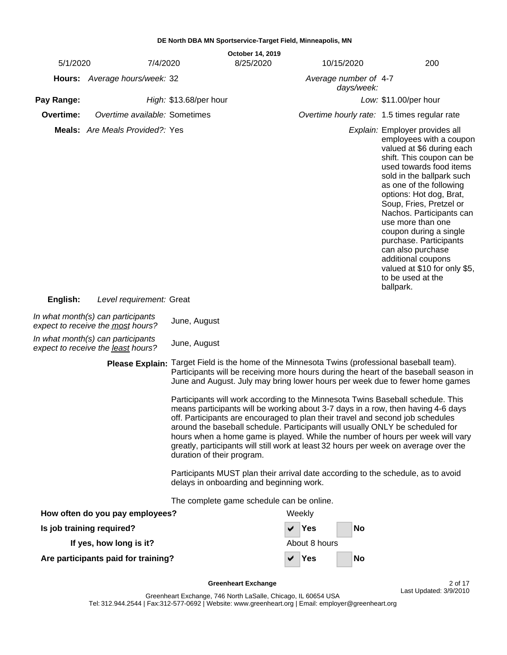| 5/1/2020                                                                                                                                                                                                                                                                                                                                                                                                                                                                                                                                                                                                                                                                                                                                                                                                                | 7/4/2020                                                                |                                           | October 14, 2019<br>8/25/2020 |               | 10/15/2020            | 200                                                                                                                                                                                                                                                                                                                                                                                                                                                                            |
|-------------------------------------------------------------------------------------------------------------------------------------------------------------------------------------------------------------------------------------------------------------------------------------------------------------------------------------------------------------------------------------------------------------------------------------------------------------------------------------------------------------------------------------------------------------------------------------------------------------------------------------------------------------------------------------------------------------------------------------------------------------------------------------------------------------------------|-------------------------------------------------------------------------|-------------------------------------------|-------------------------------|---------------|-----------------------|--------------------------------------------------------------------------------------------------------------------------------------------------------------------------------------------------------------------------------------------------------------------------------------------------------------------------------------------------------------------------------------------------------------------------------------------------------------------------------|
|                                                                                                                                                                                                                                                                                                                                                                                                                                                                                                                                                                                                                                                                                                                                                                                                                         | Hours: Average hours/week: 32                                           |                                           |                               |               | Average number of 4-7 |                                                                                                                                                                                                                                                                                                                                                                                                                                                                                |
|                                                                                                                                                                                                                                                                                                                                                                                                                                                                                                                                                                                                                                                                                                                                                                                                                         |                                                                         |                                           |                               |               | days/week:            |                                                                                                                                                                                                                                                                                                                                                                                                                                                                                |
| Pay Range:                                                                                                                                                                                                                                                                                                                                                                                                                                                                                                                                                                                                                                                                                                                                                                                                              |                                                                         | High: \$13.68/per hour                    |                               |               |                       | Low: \$11.00/per hour                                                                                                                                                                                                                                                                                                                                                                                                                                                          |
| Overtime:                                                                                                                                                                                                                                                                                                                                                                                                                                                                                                                                                                                                                                                                                                                                                                                                               | Overtime available: Sometimes                                           |                                           |                               |               |                       | Overtime hourly rate: 1.5 times regular rate                                                                                                                                                                                                                                                                                                                                                                                                                                   |
|                                                                                                                                                                                                                                                                                                                                                                                                                                                                                                                                                                                                                                                                                                                                                                                                                         | <b>Meals:</b> Are Meals Provided?: Yes                                  |                                           |                               |               |                       | Explain: Employer provides all<br>employees with a coupon<br>valued at \$6 during each<br>shift. This coupon can be<br>used towards food items<br>sold in the ballpark such<br>as one of the following<br>options: Hot dog, Brat,<br>Soup, Fries, Pretzel or<br>Nachos. Participants can<br>use more than one<br>coupon during a single<br>purchase. Participants<br>can also purchase<br>additional coupons<br>valued at \$10 for only \$5,<br>to be used at the<br>ballpark. |
| English:                                                                                                                                                                                                                                                                                                                                                                                                                                                                                                                                                                                                                                                                                                                                                                                                                | Level requirement: Great                                                |                                           |                               |               |                       |                                                                                                                                                                                                                                                                                                                                                                                                                                                                                |
|                                                                                                                                                                                                                                                                                                                                                                                                                                                                                                                                                                                                                                                                                                                                                                                                                         | In what month(s) can participants<br>expect to receive the most hours?  | June, August                              |                               |               |                       |                                                                                                                                                                                                                                                                                                                                                                                                                                                                                |
|                                                                                                                                                                                                                                                                                                                                                                                                                                                                                                                                                                                                                                                                                                                                                                                                                         | In what month(s) can participants<br>expect to receive the least hours? | June, August                              |                               |               |                       |                                                                                                                                                                                                                                                                                                                                                                                                                                                                                |
| Please Explain: Target Field is the home of the Minnesota Twins (professional baseball team).<br>Participants will be receiving more hours during the heart of the baseball season in<br>June and August. July may bring lower hours per week due to fewer home games<br>Participants will work according to the Minnesota Twins Baseball schedule. This<br>means participants will be working about 3-7 days in a row, then having 4-6 days<br>off. Participants are encouraged to plan their travel and second job schedules<br>around the baseball schedule. Participants will usually ONLY be scheduled for<br>hours when a home game is played. While the number of hours per week will vary<br>greatly, participants will still work at least 32 hours per week on average over the<br>duration of their program. |                                                                         |                                           |                               |               |                       |                                                                                                                                                                                                                                                                                                                                                                                                                                                                                |
|                                                                                                                                                                                                                                                                                                                                                                                                                                                                                                                                                                                                                                                                                                                                                                                                                         |                                                                         | delays in onboarding and beginning work.  |                               |               |                       | Participants MUST plan their arrival date according to the schedule, as to avoid                                                                                                                                                                                                                                                                                                                                                                                               |
|                                                                                                                                                                                                                                                                                                                                                                                                                                                                                                                                                                                                                                                                                                                                                                                                                         |                                                                         | The complete game schedule can be online. |                               |               |                       |                                                                                                                                                                                                                                                                                                                                                                                                                                                                                |
|                                                                                                                                                                                                                                                                                                                                                                                                                                                                                                                                                                                                                                                                                                                                                                                                                         | How often do you pay employees?                                         |                                           |                               | Weekly        |                       |                                                                                                                                                                                                                                                                                                                                                                                                                                                                                |
|                                                                                                                                                                                                                                                                                                                                                                                                                                                                                                                                                                                                                                                                                                                                                                                                                         | Is job training required?                                               |                                           |                               | <b>Yes</b>    | No                    |                                                                                                                                                                                                                                                                                                                                                                                                                                                                                |
|                                                                                                                                                                                                                                                                                                                                                                                                                                                                                                                                                                                                                                                                                                                                                                                                                         | If yes, how long is it?                                                 |                                           |                               | About 8 hours |                       |                                                                                                                                                                                                                                                                                                                                                                                                                                                                                |
|                                                                                                                                                                                                                                                                                                                                                                                                                                                                                                                                                                                                                                                                                                                                                                                                                         | Are participants paid for training?                                     |                                           |                               | Yes           | No                    |                                                                                                                                                                                                                                                                                                                                                                                                                                                                                |

**Greenheart Exchange 2 of 17** 

Last Updated: 3/9/2010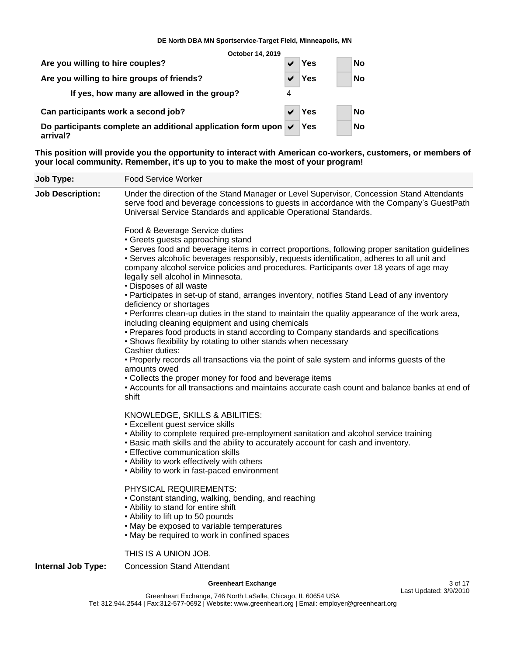**October 14, 2019**

| Are you willing to hire couples?                                                         | ✔                     | Yes | <b>No</b> |
|------------------------------------------------------------------------------------------|-----------------------|-----|-----------|
| Are you willing to hire groups of friends?                                               | $\blacktriangleright$ | Yes | <b>No</b> |
| If yes, how many are allowed in the group?                                               |                       |     |           |
| Can participants work a second job?                                                      | $\blacktriangleright$ | Yes | <b>No</b> |
| Do participants complete an additional application form upon $\triangledown$<br>arrival? |                       | Yes | <b>No</b> |

**This position will provide you the opportunity to interact with American co-workers, customers, or members of your local community. Remember, it's up to you to make the most of your program!**

| Job Type:                 | <b>Food Service Worker</b>                                                                                                                                                                                                                                                                                                                                                                                                                                                                                                                                                                                                                                                                                                                                                                                                                                                                                                                                                                                                                                                                                                                                                   |
|---------------------------|------------------------------------------------------------------------------------------------------------------------------------------------------------------------------------------------------------------------------------------------------------------------------------------------------------------------------------------------------------------------------------------------------------------------------------------------------------------------------------------------------------------------------------------------------------------------------------------------------------------------------------------------------------------------------------------------------------------------------------------------------------------------------------------------------------------------------------------------------------------------------------------------------------------------------------------------------------------------------------------------------------------------------------------------------------------------------------------------------------------------------------------------------------------------------|
| <b>Job Description:</b>   | Under the direction of the Stand Manager or Level Supervisor, Concession Stand Attendants<br>serve food and beverage concessions to guests in accordance with the Company's GuestPath<br>Universal Service Standards and applicable Operational Standards.                                                                                                                                                                                                                                                                                                                                                                                                                                                                                                                                                                                                                                                                                                                                                                                                                                                                                                                   |
|                           | Food & Beverage Service duties<br>• Greets guests approaching stand<br>• Serves food and beverage items in correct proportions, following proper sanitation guidelines<br>• Serves alcoholic beverages responsibly, requests identification, adheres to all unit and<br>company alcohol service policies and procedures. Participants over 18 years of age may<br>legally sell alcohol in Minnesota.<br>• Disposes of all waste<br>• Participates in set-up of stand, arranges inventory, notifies Stand Lead of any inventory<br>deficiency or shortages<br>• Performs clean-up duties in the stand to maintain the quality appearance of the work area,<br>including cleaning equipment and using chemicals<br>• Prepares food products in stand according to Company standards and specifications<br>• Shows flexibility by rotating to other stands when necessary<br>Cashier duties:<br>• Properly records all transactions via the point of sale system and informs guests of the<br>amounts owed<br>• Collects the proper money for food and beverage items<br>• Accounts for all transactions and maintains accurate cash count and balance banks at end of<br>shift |
|                           | KNOWLEDGE, SKILLS & ABILITIES:<br>• Excellent guest service skills<br>• Ability to complete required pre-employment sanitation and alcohol service training<br>. Basic math skills and the ability to accurately account for cash and inventory.<br>• Effective communication skills<br>• Ability to work effectively with others<br>• Ability to work in fast-paced environment                                                                                                                                                                                                                                                                                                                                                                                                                                                                                                                                                                                                                                                                                                                                                                                             |
|                           | PHYSICAL REQUIREMENTS:<br>• Constant standing, walking, bending, and reaching<br>• Ability to stand for entire shift<br>• Ability to lift up to 50 pounds<br>• May be exposed to variable temperatures<br>• May be required to work in confined spaces                                                                                                                                                                                                                                                                                                                                                                                                                                                                                                                                                                                                                                                                                                                                                                                                                                                                                                                       |
| <b>Internal Job Type:</b> | THIS IS A UNION JOB.<br><b>Concession Stand Attendant</b>                                                                                                                                                                                                                                                                                                                                                                                                                                                                                                                                                                                                                                                                                                                                                                                                                                                                                                                                                                                                                                                                                                                    |

# **Greenheart Exchange** 3 of 17

Last Updated: 3/9/2010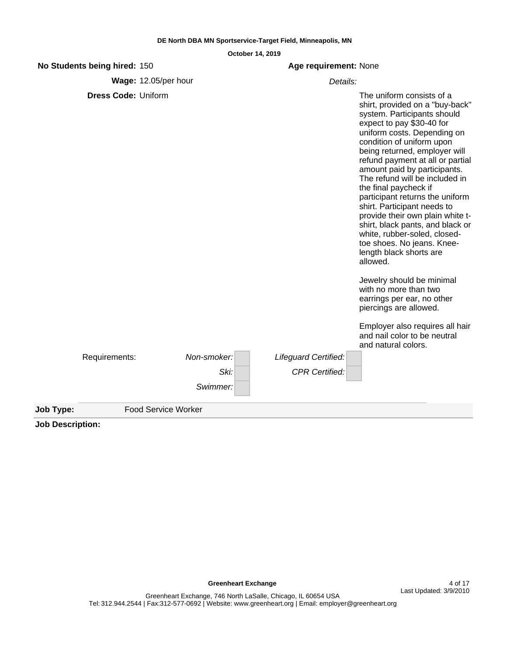|           | No Students being hired: 150 |                            | Age requirement: None       |                                                                                                                                                                                                                                                                                                                                                                                                                                                                                                                                                                                                                                                                                         |
|-----------|------------------------------|----------------------------|-----------------------------|-----------------------------------------------------------------------------------------------------------------------------------------------------------------------------------------------------------------------------------------------------------------------------------------------------------------------------------------------------------------------------------------------------------------------------------------------------------------------------------------------------------------------------------------------------------------------------------------------------------------------------------------------------------------------------------------|
|           |                              | Wage: 12.05/per hour       |                             | Details:                                                                                                                                                                                                                                                                                                                                                                                                                                                                                                                                                                                                                                                                                |
|           | <b>Dress Code: Uniform</b>   |                            |                             | The uniform consists of a<br>shirt, provided on a "buy-back"<br>system. Participants should<br>expect to pay \$30-40 for<br>uniform costs. Depending on<br>condition of uniform upon<br>being returned, employer will<br>refund payment at all or partial<br>amount paid by participants.<br>The refund will be included in<br>the final paycheck if<br>participant returns the uniform<br>shirt. Participant needs to<br>provide their own plain white t-<br>shirt, black pants, and black or<br>white, rubber-soled, closed-<br>toe shoes. No jeans. Knee-<br>length black shorts are<br>allowed.<br>Jewelry should be minimal<br>with no more than two<br>earrings per ear, no other |
|           |                              |                            |                             | piercings are allowed.                                                                                                                                                                                                                                                                                                                                                                                                                                                                                                                                                                                                                                                                  |
|           |                              |                            |                             | Employer also requires all hair<br>and nail color to be neutral<br>and natural colors.                                                                                                                                                                                                                                                                                                                                                                                                                                                                                                                                                                                                  |
|           | Requirements:                | Non-smoker:                | <b>Lifeguard Certified:</b> |                                                                                                                                                                                                                                                                                                                                                                                                                                                                                                                                                                                                                                                                                         |
|           |                              | Ski:                       | <b>CPR Certified:</b>       |                                                                                                                                                                                                                                                                                                                                                                                                                                                                                                                                                                                                                                                                                         |
|           |                              | Swimmer:                   |                             |                                                                                                                                                                                                                                                                                                                                                                                                                                                                                                                                                                                                                                                                                         |
| Job Type: |                              | <b>Food Service Worker</b> |                             |                                                                                                                                                                                                                                                                                                                                                                                                                                                                                                                                                                                                                                                                                         |

**Job Description:**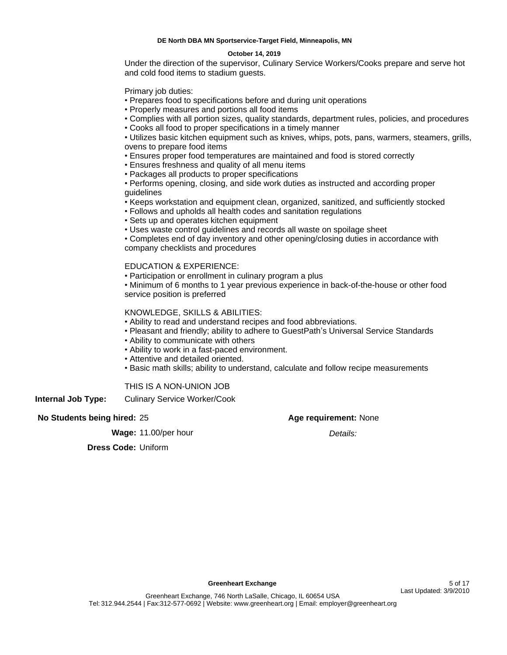### **October 14, 2019**

Under the direction of the supervisor, Culinary Service Workers/Cooks prepare and serve hot and cold food items to stadium guests.

Primary job duties:

- Prepares food to specifications before and during unit operations
- Properly measures and portions all food items
- Complies with all portion sizes, quality standards, department rules, policies, and procedures
- Cooks all food to proper specifications in a timely manner

Utilizes basic kitchen equipment such as knives, whips, pots, pans, warmers, steamers, grills, ovens to prepare food items

- Ensures proper food temperatures are maintained and food is stored correctly
- Ensures freshness and quality of all menu items
- Packages all products to proper specifications
- Performs opening, closing, and side work duties as instructed and according proper guidelines
- Keeps workstation and equipment clean, organized, sanitized, and sufficiently stocked
- Follows and upholds all health codes and sanitation regulations
- Sets up and operates kitchen equipment
- Uses waste control guidelines and records all waste on spoilage sheet

Completes end of day inventory and other opening/closing duties in accordance with company checklists and procedures

# EDUCATION & EXPERIENCE:

Participation or enrollment in culinary program a plus

Minimum of 6 months to 1 year previous experience in back-of-the-house or other food service position is preferred

# KNOWLEDGE, SKILLS & ABILITIES:

- Ability to read and understand recipes and food abbreviations.
- Pleasant and friendly; ability to adhere to GuestPath's Universal Service Standards
- Ability to communicate with others
- Ability to work in a fast-paced environment.
- Attentive and detailed oriented.
- Basic math skills; ability to understand, calculate and follow recipe measurements

# THIS IS A NON-UNION JOB

**Internal Job Type:** Culinary Service Worker/Cook

# **No Students being hired:** 25

**Wage:** 11.00/per hour

# **Age requirement:** None

Details:

**Dress Code:** Uniform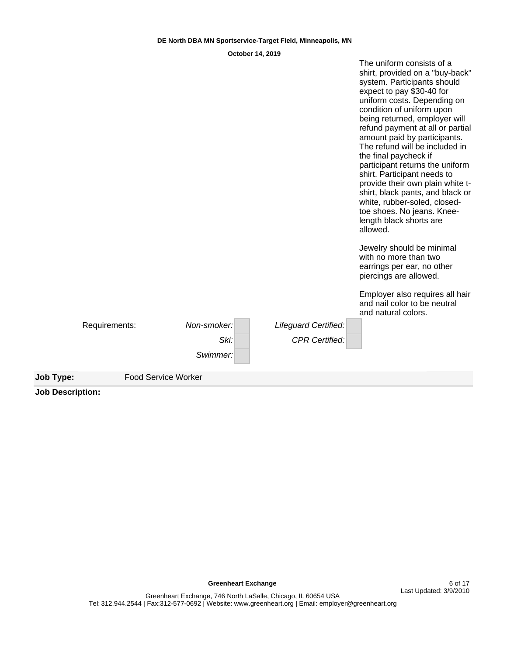| <b>Food Service Worker</b> |             |                       |                                                                                                                                                                                                                                                                                                                                                                                                                                                                                                                                     |
|----------------------------|-------------|-----------------------|-------------------------------------------------------------------------------------------------------------------------------------------------------------------------------------------------------------------------------------------------------------------------------------------------------------------------------------------------------------------------------------------------------------------------------------------------------------------------------------------------------------------------------------|
|                            | Swimmer:    |                       |                                                                                                                                                                                                                                                                                                                                                                                                                                                                                                                                     |
|                            | Ski:        | <b>CPR Certified:</b> |                                                                                                                                                                                                                                                                                                                                                                                                                                                                                                                                     |
| Requirements:              | Non-smoker: | Lifeguard Certified:  |                                                                                                                                                                                                                                                                                                                                                                                                                                                                                                                                     |
|                            |             |                       | Employer also requires all hair<br>and nail color to be neutral<br>and natural colors.                                                                                                                                                                                                                                                                                                                                                                                                                                              |
|                            |             |                       | Jewelry should be minimal<br>with no more than two<br>earrings per ear, no other<br>piercings are allowed.                                                                                                                                                                                                                                                                                                                                                                                                                          |
|                            |             |                       | system. Participants should<br>expect to pay \$30-40 for<br>uniform costs. Depending on<br>condition of uniform upon<br>being returned, employer will<br>refund payment at all or partial<br>amount paid by participants.<br>The refund will be included in<br>the final paycheck if<br>participant returns the uniform<br>shirt. Participant needs to<br>provide their own plain white t-<br>shirt, black pants, and black or<br>white, rubber-soled, closed-<br>toe shoes. No jeans. Knee-<br>length black shorts are<br>allowed. |

**Job Description:**

**Greenheart Exchange 6 of 17** 

The uniform consists of a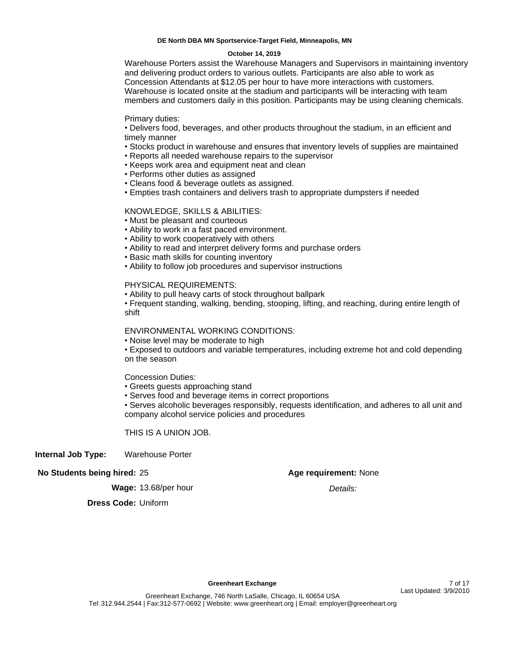#### **October 14, 2019**

Warehouse Porters assist the Warehouse Managers and Supervisors in maintaining inventory and delivering product orders to various outlets. Participants are also able to work as Concession Attendants at \$12.05 per hour to have more interactions with customers. Warehouse is located onsite at the stadium and participants will be interacting with team members and customers daily in this position. Participants may be using cleaning chemicals.

Primary duties:

Delivers food, beverages, and other products throughout the stadium, in an efficient and timely manner

- Stocks product in warehouse and ensures that inventory levels of supplies are maintained
- Reports all needed warehouse repairs to the supervisor
- Keeps work area and equipment neat and clean
- Performs other duties as assigned
- Cleans food & beverage outlets as assigned.
- Empties trash containers and delivers trash to appropriate dumpsters if needed

# KNOWLEDGE, SKILLS & ABILITIES:

- Must be pleasant and courteous
- Ability to work in a fast paced environment.
- Ability to work cooperatively with others
- Ability to read and interpret delivery forms and purchase orders
- **Basic math skills for counting inventory**
- Ability to follow job procedures and supervisor instructions

# PHYSICAL REQUIREMENTS:

Ability to pull heavy carts of stock throughout ballpark

Frequent standing, walking, bending, stooping, lifting, and reaching, during entire length of shift

ENVIRONMENTAL WORKING CONDITIONS:

• Noise level may be moderate to high

Exposed to outdoors and variable temperatures, including extreme hot and cold depending on the season

Concession Duties:

- Greets guests approaching stand
- Serves food and beverage items in correct proportions

Serves alcoholic beverages responsibly, requests identification, and adheres to all unit and company alcohol service policies and procedures

THIS IS A UNION JOB.

# **Internal Job Type:** Warehouse Porter

# **No Students being hired:** 25

# **Age requirement:** None

Details:

**Wage:** 13.68/per hour

**Dress Code:** Uniform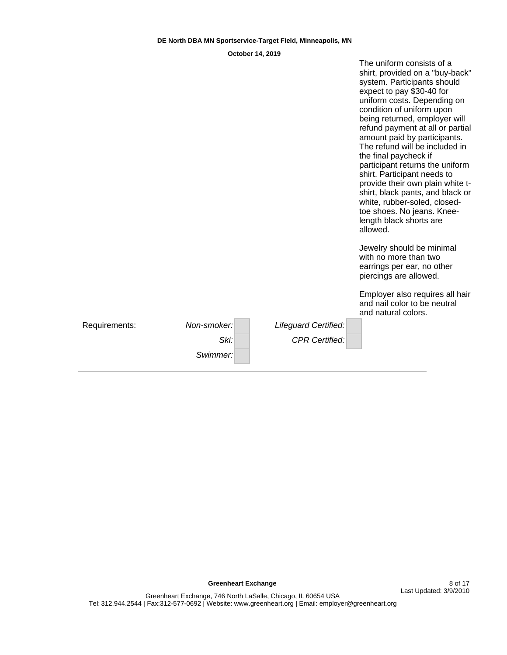|               |             |                       | shirt, provided on a "buy-back"<br>system. Participants should<br>expect to pay \$30-40 for<br>uniform costs. Depending on<br>condition of uniform upon<br>being returned, employer will<br>refund payment at all or partial<br>amount paid by participants.<br>The refund will be included in<br>the final paycheck if<br>participant returns the uniform<br>shirt. Participant needs to<br>provide their own plain white t-<br>shirt, black pants, and black or<br>white, rubber-soled, closed-<br>toe shoes. No jeans. Knee-<br>length black shorts are<br>allowed. |
|---------------|-------------|-----------------------|------------------------------------------------------------------------------------------------------------------------------------------------------------------------------------------------------------------------------------------------------------------------------------------------------------------------------------------------------------------------------------------------------------------------------------------------------------------------------------------------------------------------------------------------------------------------|
|               |             |                       | Jewelry should be minimal<br>with no more than two<br>earrings per ear, no other<br>piercings are allowed.                                                                                                                                                                                                                                                                                                                                                                                                                                                             |
|               |             |                       | Employer also requires all hair<br>and nail color to be neutral<br>and natural colors.                                                                                                                                                                                                                                                                                                                                                                                                                                                                                 |
| Requirements: | Non-smoker: | Lifeguard Certified:  |                                                                                                                                                                                                                                                                                                                                                                                                                                                                                                                                                                        |
|               | Ski:        | <b>CPR Certified:</b> |                                                                                                                                                                                                                                                                                                                                                                                                                                                                                                                                                                        |
|               | Swimmer:    |                       |                                                                                                                                                                                                                                                                                                                                                                                                                                                                                                                                                                        |

The uniform consists of a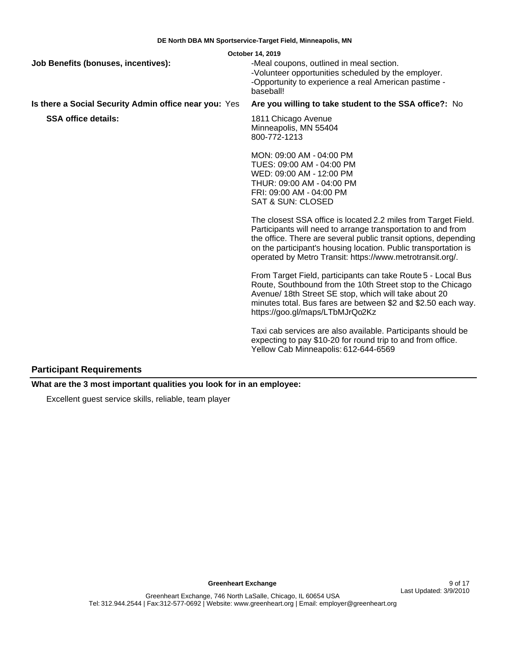| <b>Job Benefits (bonuses, incentives):</b>            | October 14, 2019<br>-Meal coupons, outlined in meal section.<br>-Volunteer opportunities scheduled by the employer.<br>-Opportunity to experience a real American pastime -<br>baseball!                                                                                                                                          |
|-------------------------------------------------------|-----------------------------------------------------------------------------------------------------------------------------------------------------------------------------------------------------------------------------------------------------------------------------------------------------------------------------------|
| Is there a Social Security Admin office near you: Yes | Are you willing to take student to the SSA office?: No                                                                                                                                                                                                                                                                            |
| <b>SSA office details:</b>                            | 1811 Chicago Avenue<br>Minneapolis, MN 55404<br>800-772-1213                                                                                                                                                                                                                                                                      |
|                                                       | MON: 09:00 AM - 04:00 PM<br>TUES: 09:00 AM - 04:00 PM<br>WED: 09:00 AM - 12:00 PM<br>THUR: 09:00 AM - 04:00 PM<br>FRI: 09:00 AM - 04:00 PM<br><b>SAT &amp; SUN: CLOSED</b>                                                                                                                                                        |
|                                                       | The closest SSA office is located 2.2 miles from Target Field.<br>Participants will need to arrange transportation to and from<br>the office. There are several public transit options, depending<br>on the participant's housing location. Public transportation is<br>operated by Metro Transit: https://www.metrotransit.org/. |
|                                                       | From Target Field, participants can take Route 5 - Local Bus<br>Route, Southbound from the 10th Street stop to the Chicago<br>Avenue/ 18th Street SE stop, which will take about 20<br>minutes total. Bus fares are between \$2 and \$2.50 each way.<br>https://goo.gl/maps/LTbMJrQo2Kz                                           |
|                                                       | Taxi cab services are also available. Participants should be<br>expecting to pay \$10-20 for round trip to and from office.<br>Yellow Cab Minneapolis: 612-644-6569                                                                                                                                                               |

# **Participant Requirements**

**What are the 3 most important qualities you look for in an employee:**

Excellent guest service skills, reliable, team player

**Greenheart Exchange** 9 of 17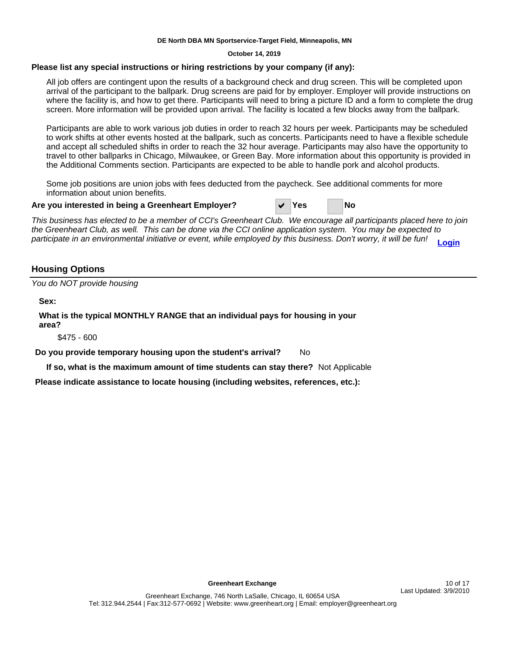**October 14, 2019**

# **Please list any special instructions or hiring restrictions by your company (if any):**

All job offers are contingent upon the results of a background check and drug screen. This will be completed upon arrival of the participant to the ballpark. Drug screens are paid for by employer. Employer will provide instructions on where the facility is, and how to get there. Participants will need to bring a picture ID and a form to complete the drug screen. More information will be provided upon arrival. The facility is located a few blocks away from the ballpark.

Participants are able to work various job duties in order to reach 32 hours per week. Participants may be scheduled to work shifts at other events hosted at the ballpark, such as concerts. Participants need to have a flexible schedule and accept all scheduled shifts in order to reach the 32 hour average. Participants may also have the opportunity to travel to other ballparks in Chicago, Milwaukee, or Green Bay. More information about this opportunity is provided in the Additional Comments section. Participants are expected to be able to handle pork and alcohol products.

Some job positions are union jobs with fees deducted from the paycheck. See additional comments for more information about union benefits.

### **Are you interested in being a Greenheart Employer?** D **Yes No**

This business has elected to be a member of CCI's Greenheart Club. We encourage all participants placed here to join the Greenheart Club, as well. This can be done via the CCI online application system. You may be expected to participate in an environmental initiative or event, while employed by this business. Don't worry, it will be fun! **[Login](https://www.cci-exchange.com/online)**

# **Housing Options**

You do NOT provide housing

**Sex:**

**What is the typical MONTHLY RANGE that an individual pays for housing in your area?**

\$475 - 600

**Do you provide temporary housing upon the student's arrival?** No

**If so, what is the maximum amount of time students can stay there?** Not Applicable

**Please indicate assistance to locate housing (including websites, references, etc.):**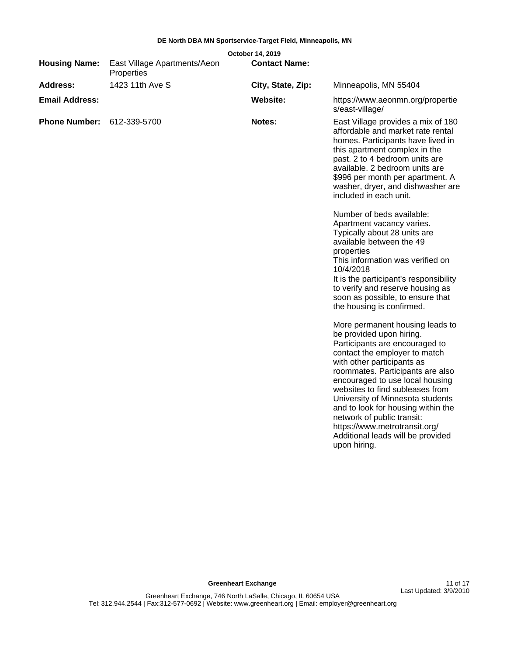|                       |                                            | October 14, 2019     |                                                                                                                                                                                                                                                                                                                                                                                                                                                                                                                                                                                                                                                                                                                                                                                                                                                                                                                                                                                                                                                                             |
|-----------------------|--------------------------------------------|----------------------|-----------------------------------------------------------------------------------------------------------------------------------------------------------------------------------------------------------------------------------------------------------------------------------------------------------------------------------------------------------------------------------------------------------------------------------------------------------------------------------------------------------------------------------------------------------------------------------------------------------------------------------------------------------------------------------------------------------------------------------------------------------------------------------------------------------------------------------------------------------------------------------------------------------------------------------------------------------------------------------------------------------------------------------------------------------------------------|
| <b>Housing Name:</b>  | East Village Apartments/Aeon<br>Properties | <b>Contact Name:</b> |                                                                                                                                                                                                                                                                                                                                                                                                                                                                                                                                                                                                                                                                                                                                                                                                                                                                                                                                                                                                                                                                             |
| <b>Address:</b>       | 1423 11th Ave S                            | City, State, Zip:    | Minneapolis, MN 55404                                                                                                                                                                                                                                                                                                                                                                                                                                                                                                                                                                                                                                                                                                                                                                                                                                                                                                                                                                                                                                                       |
| <b>Email Address:</b> |                                            | Website:             | https://www.aeonmn.org/propertie<br>s/east-village/                                                                                                                                                                                                                                                                                                                                                                                                                                                                                                                                                                                                                                                                                                                                                                                                                                                                                                                                                                                                                         |
| <b>Phone Number:</b>  | 612-339-5700                               | Notes:               | East Village provides a mix of 180<br>affordable and market rate rental<br>homes. Participants have lived in<br>this apartment complex in the<br>past. 2 to 4 bedroom units are<br>available. 2 bedroom units are<br>\$996 per month per apartment. A<br>washer, dryer, and dishwasher are<br>included in each unit.<br>Number of beds available:<br>Apartment vacancy varies.<br>Typically about 28 units are<br>available between the 49<br>properties<br>This information was verified on<br>10/4/2018<br>It is the participant's responsibility<br>to verify and reserve housing as<br>soon as possible, to ensure that<br>the housing is confirmed.<br>More permanent housing leads to<br>be provided upon hiring.<br>Participants are encouraged to<br>contact the employer to match<br>with other participants as<br>roommates. Participants are also<br>encouraged to use local housing<br>websites to find subleases from<br>University of Minnesota students<br>and to look for housing within the<br>network of public transit:<br>https://www.metrotransit.org/ |
|                       |                                            |                      | Additional leads will be provided<br>upon hiring.                                                                                                                                                                                                                                                                                                                                                                                                                                                                                                                                                                                                                                                                                                                                                                                                                                                                                                                                                                                                                           |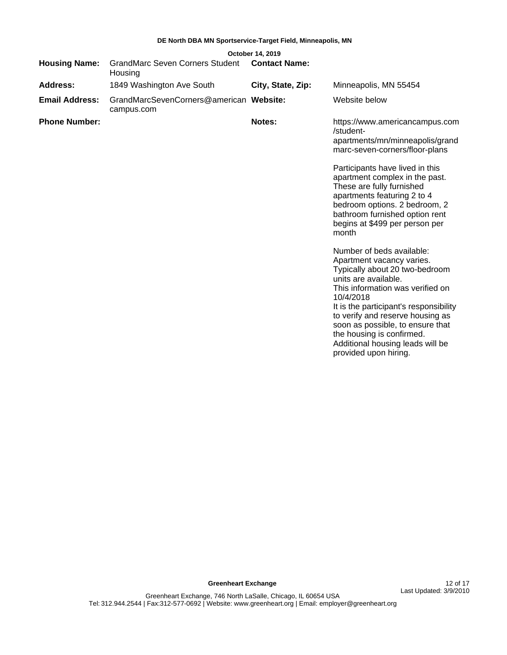| October 14, 2019      |                                                       |                      |                                                                                                                                                                                                                                                                                                                                                                                                                                                                                                                         |  |  |
|-----------------------|-------------------------------------------------------|----------------------|-------------------------------------------------------------------------------------------------------------------------------------------------------------------------------------------------------------------------------------------------------------------------------------------------------------------------------------------------------------------------------------------------------------------------------------------------------------------------------------------------------------------------|--|--|
| <b>Housing Name:</b>  | <b>GrandMarc Seven Corners Student</b><br>Housing     | <b>Contact Name:</b> |                                                                                                                                                                                                                                                                                                                                                                                                                                                                                                                         |  |  |
| Address:              | 1849 Washington Ave South                             | City, State, Zip:    | Minneapolis, MN 55454                                                                                                                                                                                                                                                                                                                                                                                                                                                                                                   |  |  |
| <b>Email Address:</b> | GrandMarcSevenCorners@american Website:<br>campus.com |                      | Website below                                                                                                                                                                                                                                                                                                                                                                                                                                                                                                           |  |  |
| <b>Phone Number:</b>  |                                                       | Notes:               | https://www.americancampus.com<br>/student-<br>apartments/mn/minneapolis/grand<br>marc-seven-corners/floor-plans<br>Participants have lived in this<br>apartment complex in the past.<br>These are fully furnished<br>apartments featuring 2 to 4<br>bedroom options. 2 bedroom, 2<br>bathroom furnished option rent<br>begins at \$499 per person per<br>month<br>Number of beds available:<br>Apartment vacancy varies.<br>Typically about 20 two-bedroom<br>units are available.<br>This information was verified on |  |  |
|                       |                                                       |                      | 10/4/2018<br>It is the participant's responsibility<br>to verify and reserve housing as<br>soon as possible, to ensure that                                                                                                                                                                                                                                                                                                                                                                                             |  |  |

soon as possible, to ensure that the housing is confirmed. Additional housing leads will be provided upon hiring.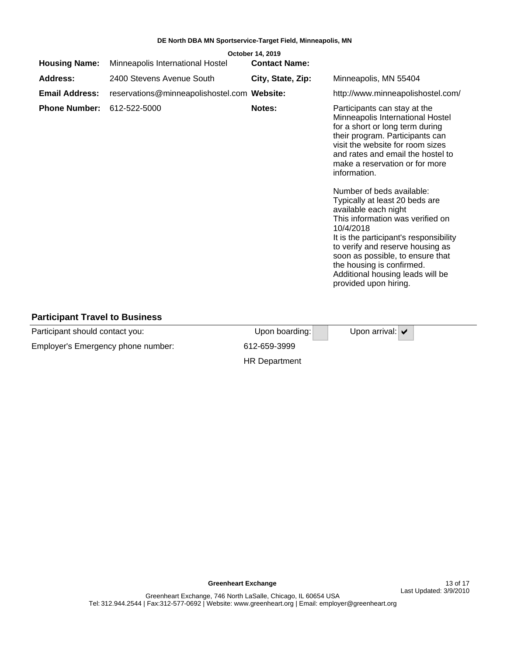|                       |                                             | October 14, 2019     |                                                                                                                                                                                                                                                                                                                                                                                                                                                                                                                                                                                                                       |
|-----------------------|---------------------------------------------|----------------------|-----------------------------------------------------------------------------------------------------------------------------------------------------------------------------------------------------------------------------------------------------------------------------------------------------------------------------------------------------------------------------------------------------------------------------------------------------------------------------------------------------------------------------------------------------------------------------------------------------------------------|
| <b>Housing Name:</b>  | Minneapolis International Hostel            | <b>Contact Name:</b> |                                                                                                                                                                                                                                                                                                                                                                                                                                                                                                                                                                                                                       |
| <b>Address:</b>       | 2400 Stevens Avenue South                   | City, State, Zip:    | Minneapolis, MN 55404                                                                                                                                                                                                                                                                                                                                                                                                                                                                                                                                                                                                 |
| <b>Email Address:</b> | reservations@minneapolishostel.com Website: |                      | http://www.minneapolishostel.com/                                                                                                                                                                                                                                                                                                                                                                                                                                                                                                                                                                                     |
| <b>Phone Number:</b>  | 612-522-5000                                | Notes:               | Participants can stay at the<br>Minneapolis International Hostel<br>for a short or long term during<br>their program. Participants can<br>visit the website for room sizes<br>and rates and email the hostel to<br>make a reservation or for more<br>information.<br>Number of beds available:<br>Typically at least 20 beds are<br>available each night<br>This information was verified on<br>10/4/2018<br>It is the participant's responsibility<br>to verify and reserve housing as<br>soon as possible, to ensure that<br>the housing is confirmed.<br>Additional housing leads will be<br>provided upon hiring. |
|                       |                                             |                      |                                                                                                                                                                                                                                                                                                                                                                                                                                                                                                                                                                                                                       |

# **Participant Travel to Business**

| Participant should contact you:    | Upon boarding: | Upon arrival: $\blacktriangledown$ |
|------------------------------------|----------------|------------------------------------|
| Employer's Emergency phone number: | 612-659-3999   |                                    |
|                                    | HR Department  |                                    |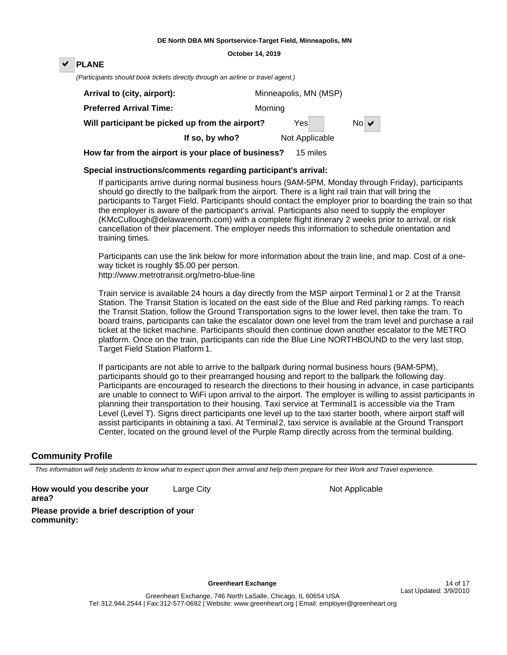#### **October 14, 2019**

# **PLANE**

(Participants should book tickets directly through an airline or travel agent.)

| Arrival to (city, airport):                     |         | Minneapolis, MN (MSP) |     |  |  |  |
|-------------------------------------------------|---------|-----------------------|-----|--|--|--|
| <b>Preferred Arrival Time:</b>                  | Morning |                       |     |  |  |  |
| Will participant be picked up from the airport? |         | Yesl                  | NoV |  |  |  |
| If so, by who?                                  |         | Not Applicable        |     |  |  |  |

**How far from the airport is your place of business?** 15 miles

# **Special instructions/comments regarding participant's arrival:**

If participants arrive during normal business hours (9AM-5PM, Monday through Friday), participants should go directly to the ballpark from the airport. There is a light rail train that will bring the participants to Target Field. Participants should contact the employer prior to boarding the train so that the employer is aware of the participant's arrival. Participants also need to supply the employer (KMcCullough@delawarenorth.com) with a complete flight itinerary 2 weeks prior to arrival, or risk cancellation of their placement. The employer needs this information to schedule orientation and training times.

Participants can use the link below for more information about the train line, and map. Cost of a oneway ticket is roughly \$5.00 per person.

http://www.metrotransit.org/metro-blue-line

Train service is available 24 hours a day directly from the MSP airport Terminal 1 or 2 at the Transit Station. The Transit Station is located on the east side of the Blue and Red parking ramps. To reach the Transit Station, follow the Ground Transportation signs to the lower level, then take the tram. To board trains, participants can take the escalator down one level from the tram level and purchase a rail ticket at the ticket machine. Participants should then continue down another escalator to the METRO platform. Once on the train, participants can ride the Blue Line NORTHBOUND to the very last stop, Target Field Station Platform 1.

If participants are not able to arrive to the ballpark during normal business hours (9AM-5PM), participants should go to their prearranged housing and report to the ballpark the following day. Participants are encouraged to research the directions to their housing in advance, in case participants are unable to connect to WiFi upon arrival to the airport. The employer is willing to assist participants in planning their transportation to their housing. Taxi service at Terminal1 is accessible via the Tram Level (Level T). Signs direct participants one level up to the taxi starter booth, where airport staff will assist participants in obtaining a taxi. At Terminal 2, taxi service is available at the Ground Transport Center, located on the ground level of the Purple Ramp directly across from the terminal building.

# **Community Profile**

This information will help students to know what to expect upon their arrival and help them prepare for their Work and Travel experience.

**How would you describe your area?** Large City **Not Applicable** 

**Please provide a brief description of your community:**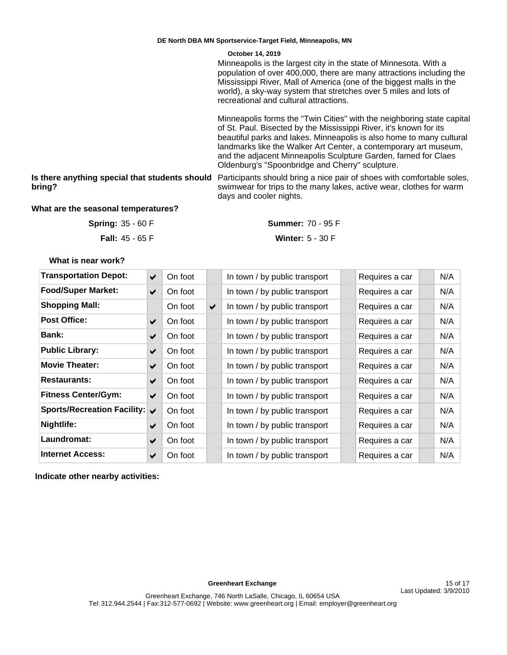Minneapolis is the largest city in the state of Minnesota. With a population of over 400,000, there are many attractions including the Mississippi River, Mall of America (one of the biggest malls in the world), a sky-way system that stretches over 5 miles and lots of recreational and cultural attractions.

Minneapolis forms the "Twin Cities" with the neighboring state capital of St. Paul. Bisected by the Mississippi River, it's known for its beautiful parks and lakes. Minneapolis is also home to many cultural landmarks like the Walker Art Center, a contemporary art museum, and the adjacent Minneapolis Sculpture Garden, famed for Claes Oldenburg's "Spoonbridge and Cherry" sculpture.

**bring?**

**Is there anything special that students should**  Participants should bring a nice pair of shoes with comfortable soles, swimwear for trips to the many lakes, active wear, clothes for warm days and cooler nights.

# **What are the seasonal temperatures?**

**Fall:** 45 - 65 F **Spring:**

35 - 60 F 70 - 95 F **Summer:**

Winter:  $5 - 30 F$ 

**What is near work?**

| <b>Transportation Depot:</b>  | ✔                    | On foot |   | In town / by public transport | Requires a car | N/A |
|-------------------------------|----------------------|---------|---|-------------------------------|----------------|-----|
| <b>Food/Super Market:</b>     | $\blacktriangledown$ | On foot |   | In town / by public transport | Requires a car | N/A |
| <b>Shopping Mall:</b>         |                      | On foot | ✔ | In town / by public transport | Requires a car | N/A |
| <b>Post Office:</b>           | ✔                    | On foot |   | In town / by public transport | Requires a car | N/A |
| <b>Bank:</b>                  | ✔                    | On foot |   | In town / by public transport | Requires a car | N/A |
| <b>Public Library:</b>        | ✔                    | On foot |   | In town / by public transport | Requires a car | N/A |
| <b>Movie Theater:</b>         | ✔                    | On foot |   | In town / by public transport | Requires a car | N/A |
| <b>Restaurants:</b>           | ✔                    | On foot |   | In town / by public transport | Requires a car | N/A |
| <b>Fitness Center/Gym:</b>    | ✔                    | On foot |   | In town / by public transport | Requires a car | N/A |
| Sports/Recreation Facility: ↓ |                      | On foot |   | In town / by public transport | Requires a car | N/A |
| Nightlife:                    | ✔                    | On foot |   | In town / by public transport | Requires a car | N/A |
| Laundromat:                   | ✔                    | On foot |   | In town / by public transport | Requires a car | N/A |
| <b>Internet Access:</b>       | ✔                    | On foot |   | In town / by public transport | Requires a car | N/A |

**Indicate other nearby activities:**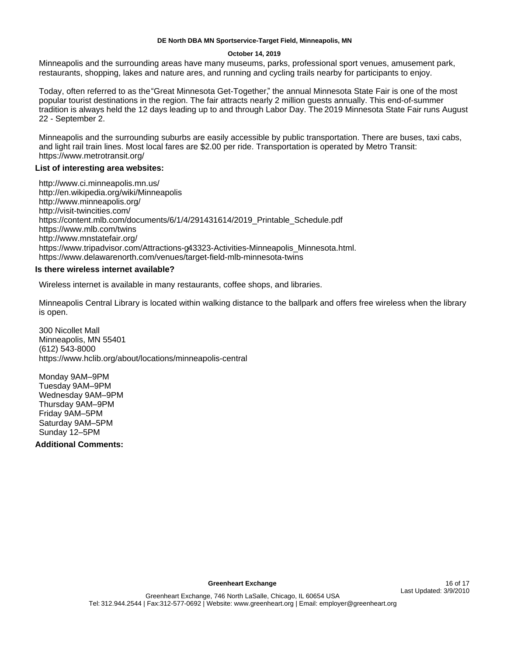#### **October 14, 2019**

Minneapolis and the surrounding areas have many museums, parks, professional sport venues, amusement park, restaurants, shopping, lakes and nature ares, and running and cycling trails nearby for participants to enjoy.

Today, often referred to as the "Great Minnesota Get-Together," the annual Minnesota State Fair is one of the most popular tourist destinations in the region. The fair attracts nearly 2 million guests annually. This end-of-summer tradition is always held the 12 days leading up to and through Labor Day. The 2019 Minnesota State Fair runs August 22 - September 2.

Minneapolis and the surrounding suburbs are easily accessible by public transportation. There are buses, taxi cabs, and light rail train lines. Most local fares are \$2.00 per ride. Transportation is operated by Metro Transit: https://www.metrotransit.org/

# **List of interesting area websites:**

http://www.ci.minneapolis.mn.us/ http://en.wikipedia.org/wiki/Minneapolis http://www.minneapolis.org/ http://visit-twincities.com/ https://content.mlb.com/documents/6/1/4/291431614/2019\_Printable\_Schedule.pdf https://www.mlb.com/twins http://www.mnstatefair.org/ https://www.tripadvisor.com/Attractions-g43323-Activities-Minneapolis\_Minnesota.html. https://www.delawarenorth.com/venues/target-field-mlb-minnesota-twins

# **Is there wireless internet available?**

Wireless internet is available in many restaurants, coffee shops, and libraries.

Minneapolis Central Library is located within walking distance to the ballpark and offers free wireless when the library is open.

300 Nicollet Mall Minneapolis, MN 55401 (612) 543-8000 https://www.hclib.org/about/locations/minneapolis-central

Monday 9AM-9PM Tuesday 9AM±9PM Wednesday 9AM-9PM Thursday 9AM-9PM Friday 9AM±5PM Saturday 9AM-5PM Sunday 12-5PM

**Additional Comments:**